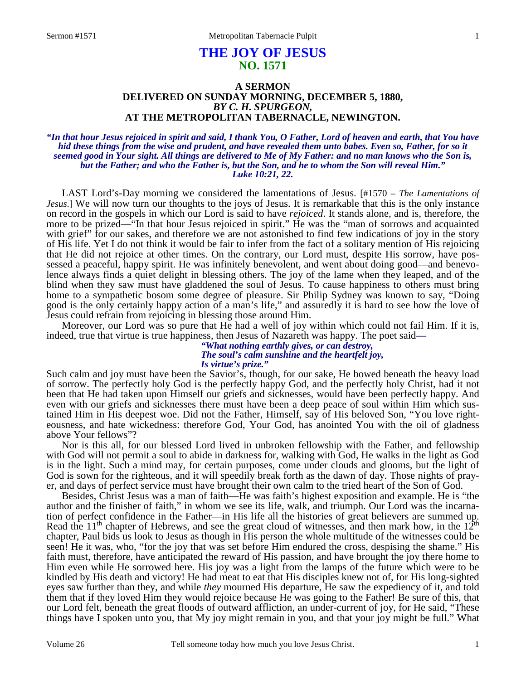# **THE JOY OF JESUS NO. 1571**

### **A SERMON DELIVERED ON SUNDAY MORNING, DECEMBER 5, 1880,**  *BY C. H. SPURGEON,*  **AT THE METROPOLITAN TABERNACLE, NEWINGTON.**

### *"In that hour Jesus rejoiced in spirit and said, I thank You, O Father, Lord of heaven and earth, that You have hid these things from the wise and prudent, and have revealed them unto babes. Even so, Father, for so it seemed good in Your sight. All things are delivered to Me of My Father: and no man knows who the Son is, but the Father; and who the Father is, but the Son, and he to whom the Son will reveal Him." Luke 10:21, 22.*

LAST Lord's-Day morning we considered the lamentations of Jesus. [#1570 – *The Lamentations of Jesus*.] We will now turn our thoughts to the joys of Jesus. It is remarkable that this is the only instance on record in the gospels in which our Lord is said to have *rejoiced*. It stands alone, and is, therefore, the more to be prized—"In that hour Jesus rejoiced in spirit." He was the "man of sorrows and acquainted with grief" for our sakes, and therefore we are not astonished to find few indications of joy in the story of His life. Yet I do not think it would be fair to infer from the fact of a solitary mention of His rejoicing that He did not rejoice at other times. On the contrary, our Lord must, despite His sorrow, have possessed a peaceful, happy spirit. He was infinitely benevolent, and went about doing good—and benevolence always finds a quiet delight in blessing others. The joy of the lame when they leaped, and of the blind when they saw must have gladdened the soul of Jesus. To cause happiness to others must bring home to a sympathetic bosom some degree of pleasure. Sir Philip Sydney was known to say, "Doing good is the only certainly happy action of a man's life," and assuredly it is hard to see how the love of Jesus could refrain from rejoicing in blessing those around Him.

 Moreover, our Lord was so pure that He had a well of joy within which could not fail Him. If it is, indeed, true that virtue is true happiness, then Jesus of Nazareth was happy. The poet said*—* 

*"What nothing earthly gives, or can destroy, The soul's calm sunshine and the heartfelt joy, Is virtue's prize."* 

Such calm and joy must have been the Savior's, though, for our sake, He bowed beneath the heavy load of sorrow. The perfectly holy God is the perfectly happy God, and the perfectly holy Christ, had it not been that He had taken upon Himself our griefs and sicknesses, would have been perfectly happy. And even with our griefs and sicknesses there must have been a deep peace of soul within Him which sustained Him in His deepest woe. Did not the Father, Himself, say of His beloved Son, "You love righteousness, and hate wickedness: therefore God, Your God, has anointed You with the oil of gladness above Your fellows"?

 Nor is this all, for our blessed Lord lived in unbroken fellowship with the Father, and fellowship with God will not permit a soul to abide in darkness for, walking with God, He walks in the light as God is in the light. Such a mind may, for certain purposes, come under clouds and glooms, but the light of God is sown for the righteous, and it will speedily break forth as the dawn of day. Those nights of prayer, and days of perfect service must have brought their own calm to the tried heart of the Son of God.

 Besides, Christ Jesus was a man of faith—He was faith's highest exposition and example. He is "the author and the finisher of faith," in whom we see its life, walk, and triumph. Our Lord was the incarnation of perfect confidence in the Father—in His life all the histories of great believers are summed up. Read the 11<sup>th</sup> chapter of Hebrews, and see the great cloud of witnesses, and then mark how, in the  $12<sup>th</sup>$ chapter, Paul bids us look to Jesus as though in His person the whole multitude of the witnesses could be seen! He it was, who, "for the joy that was set before Him endured the cross, despising the shame." His faith must, therefore, have anticipated the reward of His passion, and have brought the joy there home to Him even while He sorrowed here. His joy was a light from the lamps of the future which were to be kindled by His death and victory! He had meat to eat that His disciples knew not of, for His long-sighted eyes saw further than they, and while *they* mourned His departure, He saw the expediency of it, and told them that if they loved Him they would rejoice because He was going to the Father! Be sure of this, that our Lord felt, beneath the great floods of outward affliction, an under-current of joy, for He said, "These things have I spoken unto you, that My joy might remain in you, and that your joy might be full." What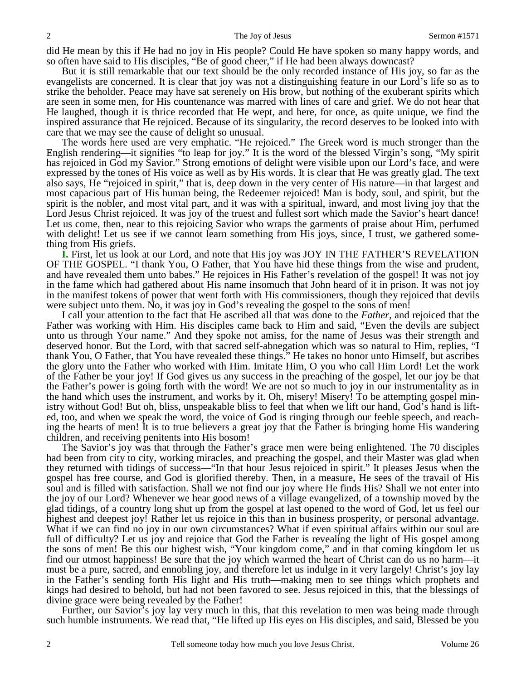did He mean by this if He had no joy in His people? Could He have spoken so many happy words, and so often have said to His disciples, "Be of good cheer," if He had been always downcast?

 But it is still remarkable that our text should be the only recorded instance of His joy, so far as the evangelists are concerned. It is clear that joy was not a distinguishing feature in our Lord's life so as to strike the beholder. Peace may have sat serenely on His brow, but nothing of the exuberant spirits which are seen in some men, for His countenance was marred with lines of care and grief. We do not hear that He laughed, though it is thrice recorded that He wept, and here, for once, as quite unique, we find the inspired assurance that He rejoiced. Because of its singularity, the record deserves to be looked into with care that we may see the cause of delight so unusual.

 The words here used are very emphatic. "He rejoiced." The Greek word is much stronger than the English rendering—it signifies "to leap for joy." It is the word of the blessed Virgin's song, "My spirit has rejoiced in God my Savior." Strong emotions of delight were visible upon our Lord's face, and were expressed by the tones of His voice as well as by His words. It is clear that He was greatly glad. The text also says, He "rejoiced in spirit," that is, deep down in the very center of His nature—in that largest and most capacious part of His human being, the Redeemer rejoiced! Man is body, soul, and spirit, but the spirit is the nobler, and most vital part, and it was with a spiritual, inward, and most living joy that the Lord Jesus Christ rejoiced. It was joy of the truest and fullest sort which made the Savior's heart dance! Let us come, then, near to this rejoicing Savior who wraps the garments of praise about Him, perfumed with delight! Let us see if we cannot learn something from His joys, since, I trust, we gathered something from His griefs.

**I.** First, let us look at our Lord, and note that His joy was JOY IN THE FATHER'S REVELATION OF THE GOSPEL. "I thank You, O Father, that You have hid these things from the wise and prudent, and have revealed them unto babes." He rejoices in His Father's revelation of the gospel! It was not joy in the fame which had gathered about His name insomuch that John heard of it in prison. It was not joy in the manifest tokens of power that went forth with His commissioners, though they rejoiced that devils were subject unto them. No, it was joy in God's revealing the gospel to the sons of men!

 I call your attention to the fact that He ascribed all that was done to the *Father,* and rejoiced that the Father was working with Him. His disciples came back to Him and said, "Even the devils are subject unto us through Your name." And they spoke not amiss, for the name of Jesus was their strength and deserved honor. But the Lord, with that sacred self-abnegation which was so natural to Him, replies, "I thank You, O Father, that You have revealed these things." He takes no honor unto Himself, but ascribes the glory unto the Father who worked with Him. Imitate Him, O you who call Him Lord! Let the work of the Father be your joy! If God gives us any success in the preaching of the gospel, let our joy be that the Father's power is going forth with the word! We are not so much to joy in our instrumentality as in the hand which uses the instrument, and works by it. Oh, misery! Misery! To be attempting gospel ministry without God! But oh, bliss, unspeakable bliss to feel that when we lift our hand, God's hand is lifted, too, and when we speak the word, the voice of God is ringing through our feeble speech, and reaching the hearts of men! It is to true believers a great joy that the Father is bringing home His wandering children, and receiving penitents into His bosom!

 The Savior's joy was that through the Father's grace men were being enlightened. The 70 disciples had been from city to city, working miracles, and preaching the gospel, and their Master was glad when they returned with tidings of success—"In that hour Jesus rejoiced in spirit." It pleases Jesus when the gospel has free course, and God is glorified thereby. Then, in a measure, He sees of the travail of His soul and is filled with satisfaction. Shall we not find our joy where He finds His? Shall we not enter into the joy of our Lord? Whenever we hear good news of a village evangelized, of a township moved by the glad tidings, of a country long shut up from the gospel at last opened to the word of God, let us feel our highest and deepest joy! Rather let us rejoice in this than in business prosperity, or personal advantage. What if we can find no joy in our own circumstances? What if even spiritual affairs within our soul are full of difficulty? Let us joy and rejoice that God the Father is revealing the light of His gospel among the sons of men! Be this our highest wish, "Your kingdom come," and in that coming kingdom let us find our utmost happiness! Be sure that the joy which warmed the heart of Christ can do us no harm—it must be a pure, sacred, and ennobling joy, and therefore let us indulge in it very largely! Christ's joy lay in the Father's sending forth His light and His truth—making men to see things which prophets and kings had desired to behold, but had not been favored to see. Jesus rejoiced in this, that the blessings of divine grace were being revealed by the Father!

 Further, our Savior's joy lay very much in this, that this revelation to men was being made through such humble instruments. We read that, "He lifted up His eyes on His disciples, and said, Blessed be you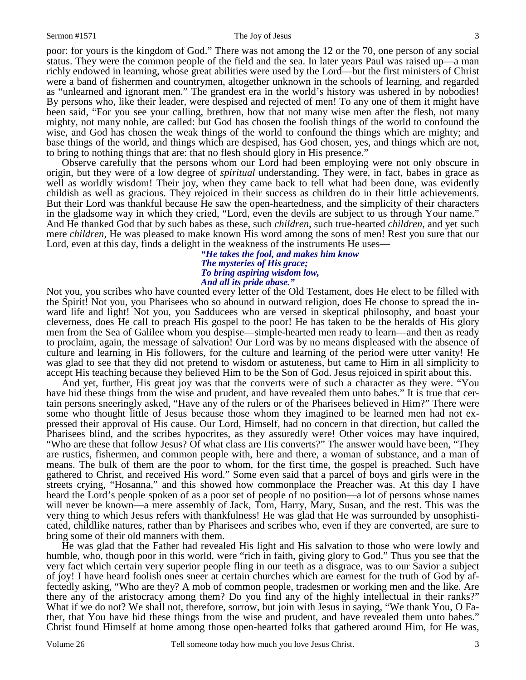#### Sermon #1571 The Joy of Jesus

poor: for yours is the kingdom of God." There was not among the 12 or the 70, one person of any social status. They were the common people of the field and the sea. In later years Paul was raised up—a man richly endowed in learning, whose great abilities were used by the Lord—but the first ministers of Christ were a band of fishermen and countrymen, altogether unknown in the schools of learning, and regarded as "unlearned and ignorant men." The grandest era in the world's history was ushered in by nobodies! By persons who, like their leader, were despised and rejected of men! To any one of them it might have been said, "For you see your calling, brethren, how that not many wise men after the flesh, not many mighty, not many noble, are called: but God has chosen the foolish things of the world to confound the wise, and God has chosen the weak things of the world to confound the things which are mighty; and base things of the world, and things which are despised, has God chosen, yes, and things which are not, to bring to nothing things that are: that no flesh should glory in His presence."

 Observe carefully that the persons whom our Lord had been employing were not only obscure in origin, but they were of a low degree of *spiritual* understanding. They were, in fact, babes in grace as well as worldly wisdom! Their joy, when they came back to tell what had been done, was evidently childish as well as gracious. They rejoiced in their success as children do in their little achievements. But their Lord was thankful because He saw the open-heartedness, and the simplicity of their characters in the gladsome way in which they cried, "Lord, even the devils are subject to us through Your name." And He thanked God that by such babes as these, such *children*, such true-hearted *children*, and yet such mere *children,* He was pleased to make known His word among the sons of men! Rest you sure that our Lord, even at this day, finds a delight in the weakness of the instruments He uses—

> *"He takes the fool, and makes him know The mysteries of His grace; To bring aspiring wisdom low, And all its pride abase."*

Not you, you scribes who have counted every letter of the Old Testament, does He elect to be filled with the Spirit! Not you, you Pharisees who so abound in outward religion, does He choose to spread the inward life and light! Not you, you Sadducees who are versed in skeptical philosophy, and boast your cleverness, does He call to preach His gospel to the poor! He has taken to be the heralds of His glory men from the Sea of Galilee whom you despise—simple-hearted men ready to learn—and then as ready to proclaim, again, the message of salvation! Our Lord was by no means displeased with the absence of culture and learning in His followers, for the culture and learning of the period were utter vanity! He was glad to see that they did not pretend to wisdom or astuteness, but came to Him in all simplicity to accept His teaching because they believed Him to be the Son of God. Jesus rejoiced in spirit about this.

 And yet, further, His great joy was that the converts were of such a character as they were. "You have hid these things from the wise and prudent, and have revealed them unto babes." It is true that certain persons sneeringly asked, "Have any of the rulers or of the Pharisees believed in Him?" There were some who thought little of Jesus because those whom they imagined to be learned men had not expressed their approval of His cause. Our Lord, Himself, had no concern in that direction, but called the Pharisees blind, and the scribes hypocrites, as they assuredly were! Other voices may have inquired, "Who are these that follow Jesus? Of what class are His converts?" The answer would have been, "They are rustics, fishermen, and common people with, here and there, a woman of substance, and a man of means. The bulk of them are the poor to whom, for the first time, the gospel is preached. Such have gathered to Christ, and received His word." Some even said that a parcel of boys and girls were in the streets crying, "Hosanna," and this showed how commonplace the Preacher was. At this day I have heard the Lord's people spoken of as a poor set of people of no position—a lot of persons whose names will never be known—a mere assembly of Jack, Tom, Harry, Mary, Susan, and the rest. This was the very thing to which Jesus refers with thankfulness! He was glad that He was surrounded by unsophisticated, childlike natures, rather than by Pharisees and scribes who, even if they are converted, are sure to bring some of their old manners with them.

 He was glad that the Father had revealed His light and His salvation to those who were lowly and humble, who, though poor in this world, were "rich in faith, giving glory to God." Thus you see that the very fact which certain very superior people fling in our teeth as a disgrace, was to our Savior a subject of joy! I have heard foolish ones sneer at certain churches which are earnest for the truth of God by affectedly asking, "Who are they? A mob of common people, tradesmen or working men and the like. Are there any of the aristocracy among them? Do you find any of the highly intellectual in their ranks?" What if we do not? We shall not, therefore, sorrow, but join with Jesus in saying, "We thank You, O Father, that You have hid these things from the wise and prudent, and have revealed them unto babes." Christ found Himself at home among those open-hearted folks that gathered around Him, for He was,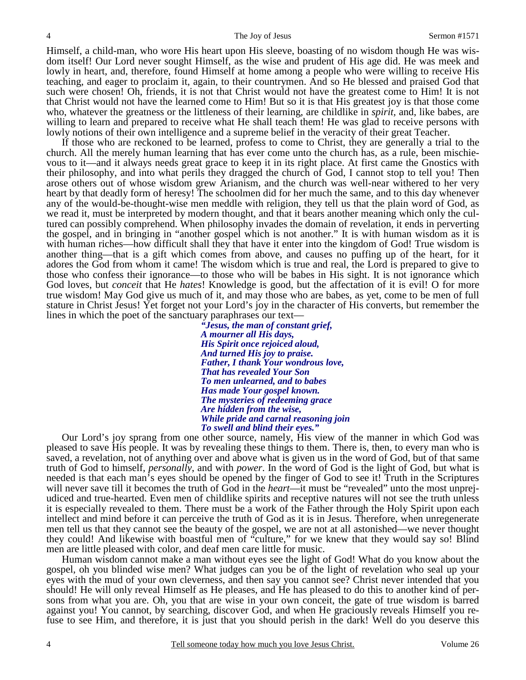Himself, a child-man, who wore His heart upon His sleeve, boasting of no wisdom though He was wisdom itself! Our Lord never sought Himself, as the wise and prudent of His age did. He was meek and lowly in heart, and, therefore, found Himself at home among a people who were willing to receive His teaching, and eager to proclaim it, again, to their countrymen. And so He blessed and praised God that such were chosen! Oh, friends, it is not that Christ would not have the greatest come to Him! It is not that Christ would not have the learned come to Him! But so it is that His greatest joy is that those come who, whatever the greatness or the littleness of their learning, are childlike in *spirit,* and, like babes, are willing to learn and prepared to receive what He shall teach them! He was glad to receive persons with lowly notions of their own intelligence and a supreme belief in the veracity of their great Teacher.

 If those who are reckoned to be learned, profess to come to Christ, they are generally a trial to the church. All the merely human learning that has ever come unto the church has, as a rule, been mischievous to it—and it always needs great grace to keep it in its right place. At first came the Gnostics with their philosophy, and into what perils they dragged the church of God, I cannot stop to tell you! Then arose others out of whose wisdom grew Arianism, and the church was well-near withered to her very heart by that deadly form of heresy! The schoolmen did for her much the same, and to this day whenever any of the would-be-thought-wise men meddle with religion, they tell us that the plain word of God, as we read it, must be interpreted by modern thought, and that it bears another meaning which only the cultured can possibly comprehend. When philosophy invades the domain of revelation, it ends in perverting the gospel, and in bringing in "another gospel which is not another." It is with human wisdom as it is with human riches—how difficult shall they that have it enter into the kingdom of God! True wisdom is another thing—that is a gift which comes from above, and causes no puffing up of the heart, for it adores the God from whom it came! The wisdom which is true and real, the Lord is prepared to give to those who confess their ignorance—to those who will be babes in His sight. It is not ignorance which God loves, but *conceit* that He *hates*! Knowledge is good, but the affectation of it is evil! O for more true wisdom! May God give us much of it, and may those who are babes, as yet, come to be men of full stature in Christ Jesus! Yet forget not your Lord's joy in the character of His converts, but remember the lines in which the poet of the sanctuary paraphrases our text—

*"Jesus, the man of constant grief, A mourner all His days, His Spirit once rejoiced aloud, And turned His joy to praise. Father, I thank Your wondrous love, That has revealed Your Son To men unlearned, and to babes Has made Your gospel known. The mysteries of redeeming grace Are hidden from the wise, While pride and carnal reasoning join To swell and blind their eyes."* 

Our Lord's joy sprang from one other source, namely, His view of the manner in which God was pleased to save His people. It was by revealing these things to them. There is, then, to every man who is saved, a revelation, not of anything over and above what is given us in the word of God, but of that same truth of God to himself, *personally*, and with *power*. In the word of God is the light of God, but what is needed is that each man's eyes should be opened by the finger of God to see it! Truth in the Scriptures will never save till it becomes the truth of God in the *heart*—it must be "revealed" unto the most unprejudiced and true-hearted. Even men of childlike spirits and receptive natures will not see the truth unless it is especially revealed to them. There must be a work of the Father through the Holy Spirit upon each intellect and mind before it can perceive the truth of God as it is in Jesus. Therefore, when unregenerate men tell us that they cannot see the beauty of the gospel, we are not at all astonished—we never thought they could! And likewise with boastful men of "culture," for we knew that they would say so! Blind men are little pleased with color, and deaf men care little for music.

 Human wisdom cannot make a man without eyes see the light of God! What do you know about the gospel, oh you blinded wise men? What judges can you be of the light of revelation who seal up your eyes with the mud of your own cleverness, and then say you cannot see? Christ never intended that you should! He will only reveal Himself as He pleases, and He has pleased to do this to another kind of persons from what you are. Oh, you that are wise in your own conceit, the gate of true wisdom is barred against you! You cannot, by searching, discover God, and when He graciously reveals Himself you refuse to see Him, and therefore, it is just that you should perish in the dark! Well do you deserve this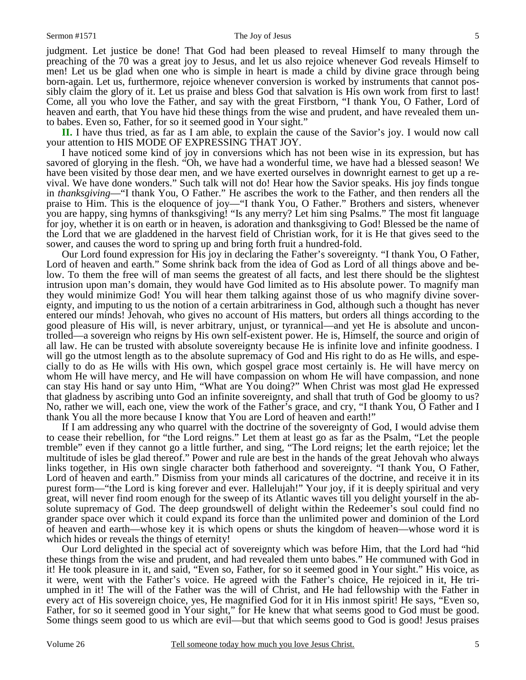### Sermon #1571 The Joy of Jesus

judgment. Let justice be done! That God had been pleased to reveal Himself to many through the preaching of the 70 was a great joy to Jesus, and let us also rejoice whenever God reveals Himself to men! Let us be glad when one who is simple in heart is made a child by divine grace through being born-again. Let us, furthermore, rejoice whenever conversion is worked by instruments that cannot possibly claim the glory of it. Let us praise and bless God that salvation is His own work from first to last! Come, all you who love the Father, and say with the great Firstborn, "I thank You, O Father, Lord of heaven and earth, that You have hid these things from the wise and prudent, and have revealed them unto babes. Even so, Father, for so it seemed good in Your sight."

 **II.** I have thus tried, as far as I am able, to explain the cause of the Savior's joy. I would now call your attention to HIS MODE OF EXPRESSING THAT JOY.

 I have noticed some kind of joy in conversions which has not been wise in its expression, but has savored of glorying in the flesh. "Oh, we have had a wonderful time, we have had a blessed season! We have been visited by those dear men, and we have exerted ourselves in downright earnest to get up a revival. We have done wonders." Such talk will not do! Hear how the Savior speaks. His joy finds tongue in *thanksgiving*—"I thank You, O Father." He ascribes the work to the Father, and then renders all the praise to Him. This is the eloquence of joy—"I thank You, O Father." Brothers and sisters, whenever you are happy, sing hymns of thanksgiving! "Is any merry? Let him sing Psalms." The most fit language for joy, whether it is on earth or in heaven, is adoration and thanksgiving to God! Blessed be the name of the Lord that we are gladdened in the harvest field of Christian work, for it is He that gives seed to the sower, and causes the word to spring up and bring forth fruit a hundred-fold.

 Our Lord found expression for His joy in declaring the Father's sovereignty. "I thank You, O Father, Lord of heaven and earth." Some shrink back from the idea of God as Lord of all things above and below. To them the free will of man seems the greatest of all facts, and lest there should be the slightest intrusion upon man's domain, they would have God limited as to His absolute power. To magnify man they would minimize God! You will hear them talking against those of us who magnify divine sovereignty, and imputing to us the notion of a certain arbitrariness in God, although such a thought has never entered our minds! Jehovah, who gives no account of His matters, but orders all things according to the good pleasure of His will, is never arbitrary, unjust, or tyrannical—and yet He is absolute and uncontrolled—a sovereign who reigns by His own self-existent power. He is, Himself, the source and origin of all law. He can be trusted with absolute sovereignty because He is infinite love and infinite goodness. I will go the utmost length as to the absolute supremacy of God and His right to do as He wills, and especially to do as He wills with His own, which gospel grace most certainly is. He will have mercy on whom He will have mercy, and He will have compassion on whom He will have compassion, and none can stay His hand or say unto Him, "What are You doing?" When Christ was most glad He expressed that gladness by ascribing unto God an infinite sovereignty, and shall that truth of God be gloomy to us? No, rather we will, each one, view the work of the Father's grace, and cry, "I thank You, O Father and I thank You all the more because I know that You are Lord of heaven and earth!"

 If I am addressing any who quarrel with the doctrine of the sovereignty of God, I would advise them to cease their rebellion, for "the Lord reigns." Let them at least go as far as the Psalm, "Let the people tremble" even if they cannot go a little further, and sing, "The Lord reigns; let the earth rejoice; let the multitude of isles be glad thereof." Power and rule are best in the hands of the great Jehovah who always links together, in His own single character both fatherhood and sovereignty. "I thank You, O Father, Lord of heaven and earth." Dismiss from your minds all caricatures of the doctrine, and receive it in its purest form—"the Lord is king forever and ever. Hallelujah!" Your joy, if it is deeply spiritual and very great, will never find room enough for the sweep of its Atlantic waves till you delight yourself in the absolute supremacy of God. The deep groundswell of delight within the Redeemer's soul could find no grander space over which it could expand its force than the unlimited power and dominion of the Lord of heaven and earth—whose key it is which opens or shuts the kingdom of heaven—whose word it is which hides or reveals the things of eternity!

 Our Lord delighted in the special act of sovereignty which was before Him, that the Lord had "hid these things from the wise and prudent, and had revealed them unto babes." He communed with God in it! He took pleasure in it, and said, "Even so, Father, for so it seemed good in Your sight." His voice, as it were, went with the Father's voice. He agreed with the Father's choice, He rejoiced in it, He triumphed in it! The will of the Father was the will of Christ, and He had fellowship with the Father in every act of His sovereign choice, yes, He magnified God for it in His inmost spirit! He says, "Even so, Father, for so it seemed good in Your sight," for He knew that what seems good to God must be good. Some things seem good to us which are evil—but that which seems good to God is good! Jesus praises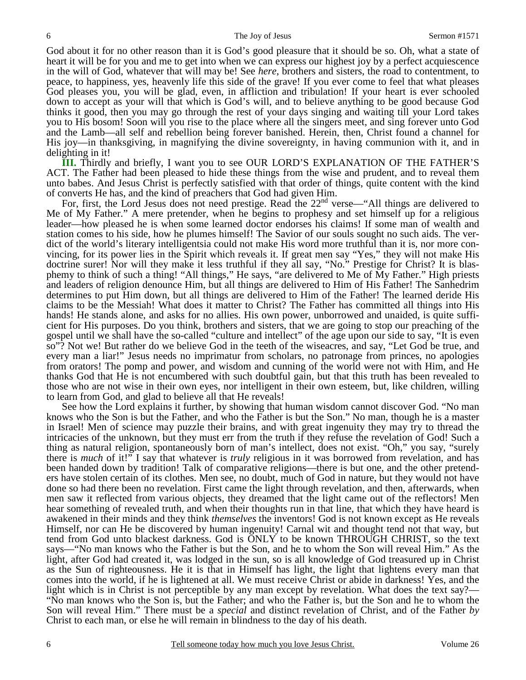God about it for no other reason than it is God's good pleasure that it should be so. Oh, what a state of heart it will be for you and me to get into when we can express our highest joy by a perfect acquiescence in the will of God, whatever that will may be! See *here*, brothers and sisters, the road to contentment, to peace, to happiness, yes, heavenly life this side of the grave! If you ever come to feel that what pleases God pleases you, you will be glad, even, in affliction and tribulation! If your heart is ever schooled down to accept as your will that which is God's will, and to believe anything to be good because God thinks it good, then you may go through the rest of your days singing and waiting till your Lord takes you to His bosom! Soon will you rise to the place where all the singers meet, and sing forever unto God and the Lamb—all self and rebellion being forever banished. Herein, then, Christ found a channel for His joy—in thanksgiving, in magnifying the divine sovereignty, in having communion with it, and in delighting in it!

**III.** Thirdly and briefly, I want you to see OUR LORD'S EXPLANATION OF THE FATHER'S ACT. The Father had been pleased to hide these things from the wise and prudent, and to reveal them unto babes. And Jesus Christ is perfectly satisfied with that order of things, quite content with the kind of converts He has, and the kind of preachers that God had given Him.

For, first, the Lord Jesus does not need prestige. Read the 22<sup>nd</sup> verse—"All things are delivered to Me of My Father." A mere pretender, when he begins to prophesy and set himself up for a religious leader—how pleased he is when some learned doctor endorses his claims! If some man of wealth and station comes to his side, how he plumes himself! The Savior of our souls sought no such aids. The verdict of the world's literary intelligentsia could not make His word more truthful than it is, nor more convincing, for its power lies in the Spirit which reveals it. If great men say "Yes," they will not make His doctrine surer! Nor will they make it less truthful if they all say, "No." Prestige for Christ? It is blasphemy to think of such a thing! "All things," He says, "are delivered to Me of My Father." High priests and leaders of religion denounce Him, but all things are delivered to Him of His Father! The Sanhedrim determines to put Him down, but all things are delivered to Him of the Father! The learned deride His claims to be the Messiah! What does it matter to Christ? The Father has committed all things into His hands! He stands alone, and asks for no allies. His own power, unborrowed and unaided, is quite sufficient for His purposes. Do you think, brothers and sisters, that we are going to stop our preaching of the gospel until we shall have the so-called "culture and intellect" of the age upon our side to say, "It is even so"? Not we! But rather do we believe God in the teeth of the wiseacres, and say, "Let God be true, and every man a liar!" Jesus needs no imprimatur from scholars, no patronage from princes, no apologies from orators! The pomp and power, and wisdom and cunning of the world were not with Him, and He thanks God that He is not encumbered with such doubtful gain, but that this truth has been revealed to those who are not wise in their own eyes, nor intelligent in their own esteem, but, like children, willing to learn from God, and glad to believe all that He reveals!

 See how the Lord explains it further, by showing that human wisdom cannot discover God. "No man knows who the Son is but the Father, and who the Father is but the Son." No man, though he is a master in Israel! Men of science may puzzle their brains, and with great ingenuity they may try to thread the intricacies of the unknown, but they must err from the truth if they refuse the revelation of God! Such a thing as natural religion, spontaneously born of man's intellect, does not exist. "Oh," you say, "surely there is *much* of it!" I say that whatever is *truly* religious in it was borrowed from revelation, and has been handed down by tradition! Talk of comparative religions—there is but one, and the other pretenders have stolen certain of its clothes. Men see, no doubt, much of God in nature, but they would not have done so had there been no revelation. First came the light through revelation, and then, afterwards, when men saw it reflected from various objects, they dreamed that the light came out of the reflectors! Men hear something of revealed truth, and when their thoughts run in that line, that which they have heard is awakened in their minds and they think *themselves* the inventors! God is not known except as He reveals Himself, nor can He be discovered by human ingenuity! Carnal wit and thought tend not that way, but tend from God unto blackest darkness. God is ONLY to be known THROUGH CHRIST, so the text says—"No man knows who the Father is but the Son, and he to whom the Son will reveal Him." As the light, after God had created it, was lodged in the sun, so is all knowledge of God treasured up in Christ as the Sun of righteousness. He it is that in Himself has light, the light that lightens every man that comes into the world, if he is lightened at all. We must receive Christ or abide in darkness! Yes, and the light which is in Christ is not perceptible by any man except by revelation. What does the text say?— "No man knows who the Son is, but the Father; and who the Father is, but the Son and he to whom the Son will reveal Him." There must be a *special* and distinct revelation of Christ, and of the Father *by* Christ to each man, or else he will remain in blindness to the day of his death.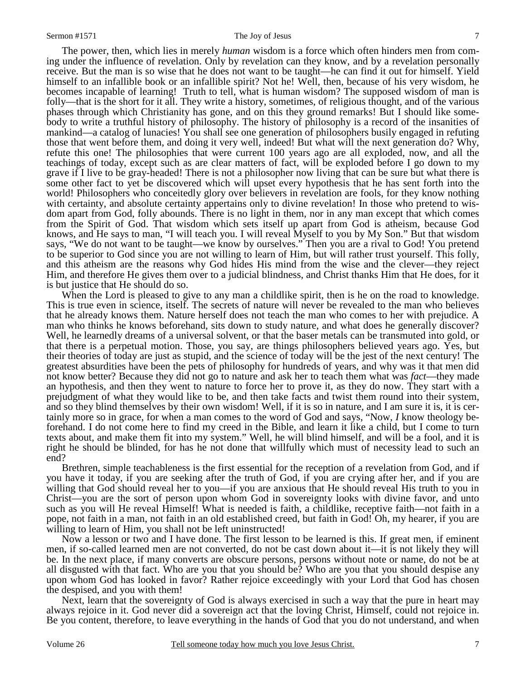The power, then, which lies in merely *human* wisdom is a force which often hinders men from coming under the influence of revelation. Only by revelation can they know, and by a revelation personally receive. But the man is so wise that he does not want to be taught—he can find it out for himself. Yield himself to an infallible book or an infallible spirit? Not he! Well, then, because of his very wisdom, he becomes incapable of learning! Truth to tell, what is human wisdom? The supposed wisdom of man is folly—that is the short for it all. They write a history, sometimes, of religious thought, and of the various phases through which Christianity has gone, and on this they ground remarks! But I should like somebody to write a truthful history of philosophy. The history of philosophy is a record of the insanities of mankind—a catalog of lunacies! You shall see one generation of philosophers busily engaged in refuting those that went before them, and doing it very well, indeed! But what will the next generation do? Why, refute this one! The philosophies that were current 100 years ago are all exploded, now, and all the teachings of today, except such as are clear matters of fact, will be exploded before I go down to my grave if I live to be gray-headed! There is not a philosopher now living that can be sure but what there is some other fact to yet be discovered which will upset every hypothesis that he has sent forth into the world! Philosophers who conceitedly glory over believers in revelation are fools, for they know nothing with certainty, and absolute certainty appertains only to divine revelation! In those who pretend to wisdom apart from God, folly abounds. There is no light in them, nor in any man except that which comes from the Spirit of God. That wisdom which sets itself up apart from God is atheism, because God knows, and He says to man, "I will teach you. I will reveal Myself to you by My Son." But that wisdom says, "We do not want to be taught—we know by ourselves." Then you are a rival to God! You pretend to be superior to God since you are not willing to learn of Him, but will rather trust yourself. This folly, and this atheism are the reasons why God hides His mind from the wise and the clever—they reject Him, and therefore He gives them over to a judicial blindness, and Christ thanks Him that He does, for it is but justice that He should do so.

 When the Lord is pleased to give to any man a childlike spirit, then is he on the road to knowledge. This is true even in science, itself. The secrets of nature will never be revealed to the man who believes that he already knows them. Nature herself does not teach the man who comes to her with prejudice. A man who thinks he knows beforehand, sits down to study nature, and what does he generally discover? Well, he learnedly dreams of a universal solvent, or that the baser metals can be transmuted into gold, or that there is a perpetual motion. Those, you say, are things philosophers believed years ago. Yes, but their theories of today are just as stupid, and the science of today will be the jest of the next century! The greatest absurdities have been the pets of philosophy for hundreds of years, and why was it that men did not know better? Because they did not go to nature and ask her to teach them what was *fact*—they made an hypothesis, and then they went to nature to force her to prove it, as they do now. They start with a prejudgment of what they would like to be, and then take facts and twist them round into their system, and so they blind themselves by their own wisdom! Well, if it is so in nature, and I am sure it is, it is certainly more so in grace, for when a man comes to the word of God and says, "Now, *I* know theology beforehand. I do not come here to find my creed in the Bible, and learn it like a child, but I come to turn texts about, and make them fit into my system." Well, he will blind himself, and will be a fool, and it is right he should be blinded, for has he not done that willfully which must of necessity lead to such an end?

 Brethren, simple teachableness is the first essential for the reception of a revelation from God, and if you have it today, if you are seeking after the truth of God, if you are crying after her, and if you are willing that God should reveal her to you—if you are anxious that He should reveal His truth to you in Christ—you are the sort of person upon whom God in sovereignty looks with divine favor, and unto such as you will He reveal Himself! What is needed is faith, a childlike, receptive faith—not faith in a pope, not faith in a man, not faith in an old established creed, but faith in God! Oh, my hearer, if you are willing to learn of Him, you shall not be left uninstructed!

 Now a lesson or two and I have done. The first lesson to be learned is this. If great men, if eminent men, if so-called learned men are not converted, do not be cast down about it—it is not likely they will be. In the next place, if many converts are obscure persons, persons without note or name, do not be at all disgusted with that fact. Who are you that you should be? Who are you that you should despise any upon whom God has looked in favor? Rather rejoice exceedingly with your Lord that God has chosen the despised, and you with them!

 Next, learn that the sovereignty of God is always exercised in such a way that the pure in heart may always rejoice in it. God never did a sovereign act that the loving Christ, Himself, could not rejoice in. Be you content, therefore, to leave everything in the hands of God that you do not understand, and when